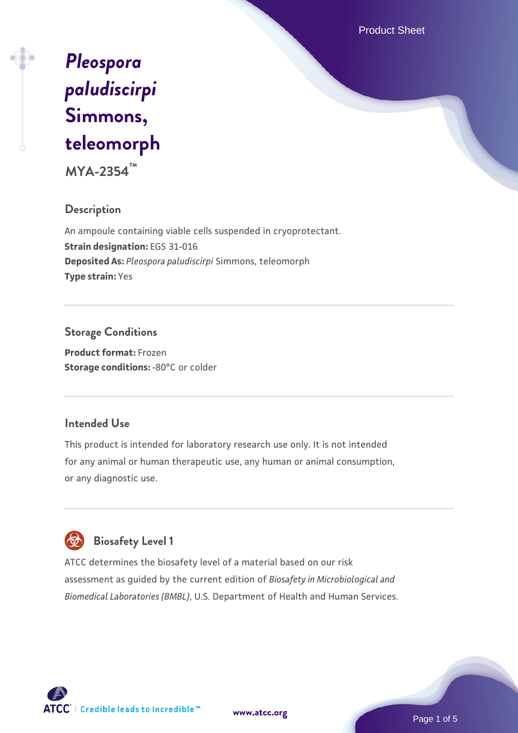Product Sheet

# *[Pleospora](https://www.atcc.org/products/mya-2354) [paludiscirpi](https://www.atcc.org/products/mya-2354)* **[Simmons,](https://www.atcc.org/products/mya-2354) [teleomorph](https://www.atcc.org/products/mya-2354)**

**MYA-2354™**

#### **Description**

An ampoule containing viable cells suspended in cryoprotectant. **Strain designation:** EGS 31-016 **Deposited As:** *Pleospora paludiscirpi* Simmons, teleomorph **Type strain:** Yes

### **Storage Conditions**

**Product format:** Frozen **Storage conditions: - 80°C** or colder

#### **Intended Use**

This product is intended for laboratory research use only. It is not intended for any animal or human therapeutic use, any human or animal consumption, or any diagnostic use.

## **Biosafety Level 1**

ATCC determines the biosafety level of a material based on our risk assessment as guided by the current edition of *Biosafety in Microbiological and Biomedical Laboratories (BMBL)*, U.S. Department of Health and Human Services.



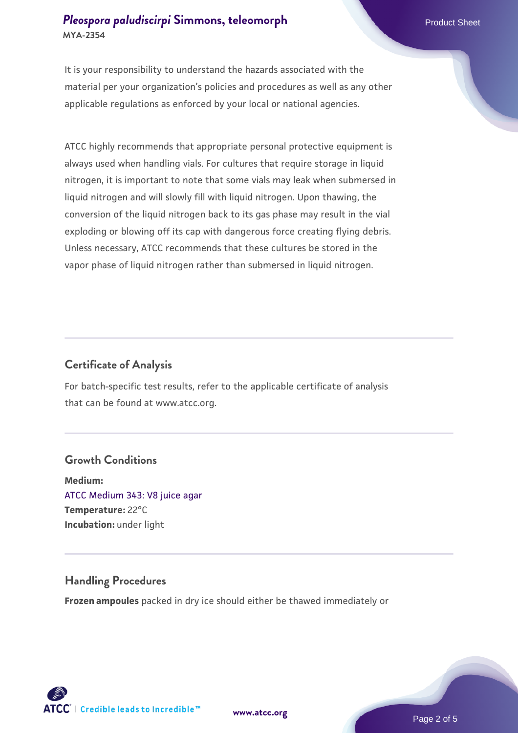#### **[Pleospora paludiscirpi](https://www.atcc.org/products/mya-2354) [Simmons, teleomorph](https://www.atcc.org/products/mya-2354)** Product Sheet **MYA-2354**

It is your responsibility to understand the hazards associated with the material per your organization's policies and procedures as well as any other applicable regulations as enforced by your local or national agencies.

ATCC highly recommends that appropriate personal protective equipment is always used when handling vials. For cultures that require storage in liquid nitrogen, it is important to note that some vials may leak when submersed in liquid nitrogen and will slowly fill with liquid nitrogen. Upon thawing, the conversion of the liquid nitrogen back to its gas phase may result in the vial exploding or blowing off its cap with dangerous force creating flying debris. Unless necessary, ATCC recommends that these cultures be stored in the vapor phase of liquid nitrogen rather than submersed in liquid nitrogen.

#### **Certificate of Analysis**

For batch-specific test results, refer to the applicable certificate of analysis that can be found at www.atcc.org.

#### **Growth Conditions**

**Medium:**  [ATCC Medium 343: V8 juice agar](https://www.atcc.org/-/media/product-assets/documents/microbial-media-formulations/3/4/3/atcc-medium-0343.pdf?rev=fbf48fa24e664932828269db1822ab12) **Temperature:** 22°C **Incubation:** under light

#### **Handling Procedures**

**Frozen ampoules** packed in dry ice should either be thawed immediately or



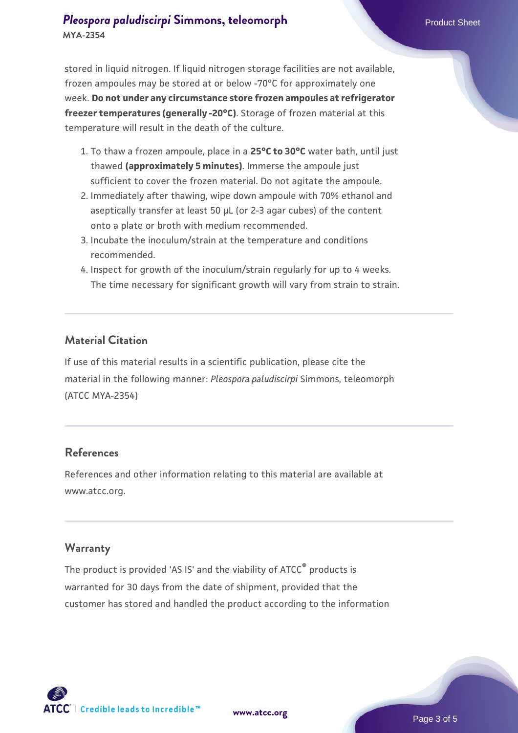- 1. To thaw a frozen ampoule, place in a **25°C to 30°C** water bath, until just thawed **(approximately 5 minutes)**. Immerse the ampoule just sufficient to cover the frozen material. Do not agitate the ampoule.
- 2. Immediately after thawing, wipe down ampoule with 70% ethanol and aseptically transfer at least 50 µL (or 2-3 agar cubes) of the content onto a plate or broth with medium recommended.
- 3. Incubate the inoculum/strain at the temperature and conditions recommended.
- 4. Inspect for growth of the inoculum/strain regularly for up to 4 weeks. The time necessary for significant growth will vary from strain to strain.

#### **Material Citation**

If use of this material results in a scientific publication, please cite the material in the following manner: *Pleospora paludiscirpi* Simmons, teleomorph (ATCC MYA-2354)

#### **References**

References and other information relating to this material are available at www.atcc.org.

#### **Warranty**

The product is provided 'AS IS' and the viability of ATCC® products is warranted for 30 days from the date of shipment, provided that the customer has stored and handled the product according to the information

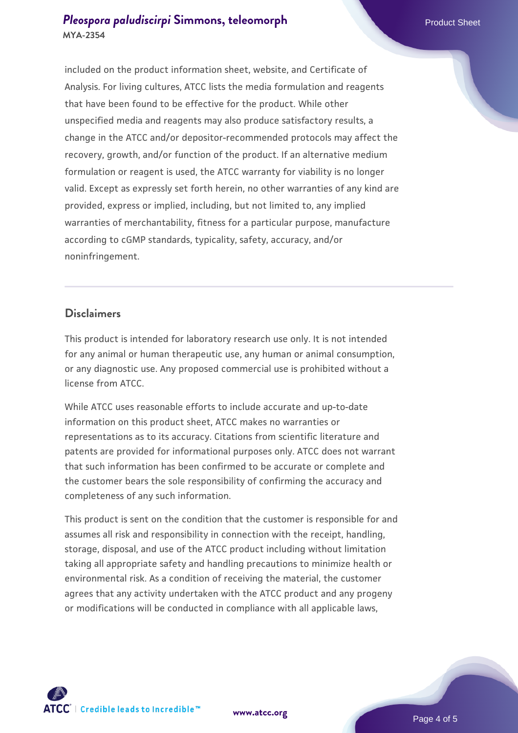#### **[Pleospora paludiscirpi](https://www.atcc.org/products/mya-2354) [Simmons, teleomorph](https://www.atcc.org/products/mya-2354)** Product Sheet **MYA-2354**

included on the product information sheet, website, and Certificate of Analysis. For living cultures, ATCC lists the media formulation and reagents that have been found to be effective for the product. While other unspecified media and reagents may also produce satisfactory results, a change in the ATCC and/or depositor-recommended protocols may affect the recovery, growth, and/or function of the product. If an alternative medium formulation or reagent is used, the ATCC warranty for viability is no longer valid. Except as expressly set forth herein, no other warranties of any kind are provided, express or implied, including, but not limited to, any implied warranties of merchantability, fitness for a particular purpose, manufacture according to cGMP standards, typicality, safety, accuracy, and/or noninfringement.

#### **Disclaimers**

This product is intended for laboratory research use only. It is not intended for any animal or human therapeutic use, any human or animal consumption, or any diagnostic use. Any proposed commercial use is prohibited without a license from ATCC.

While ATCC uses reasonable efforts to include accurate and up-to-date information on this product sheet, ATCC makes no warranties or representations as to its accuracy. Citations from scientific literature and patents are provided for informational purposes only. ATCC does not warrant that such information has been confirmed to be accurate or complete and the customer bears the sole responsibility of confirming the accuracy and completeness of any such information.

This product is sent on the condition that the customer is responsible for and assumes all risk and responsibility in connection with the receipt, handling, storage, disposal, and use of the ATCC product including without limitation taking all appropriate safety and handling precautions to minimize health or environmental risk. As a condition of receiving the material, the customer agrees that any activity undertaken with the ATCC product and any progeny or modifications will be conducted in compliance with all applicable laws,



**[www.atcc.org](http://www.atcc.org)**

Page 4 of 5